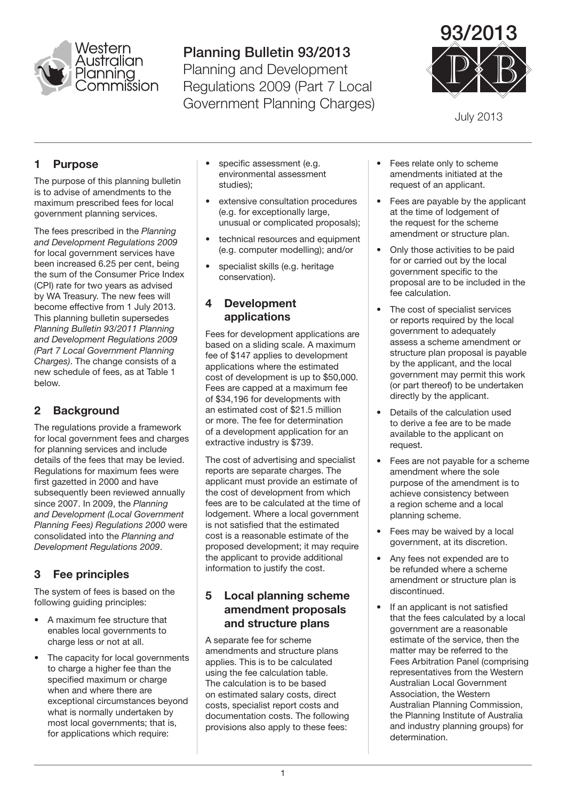

# Planning Bulletin 93/2013

Planning and Development Regulations 2009 (Part 7 Local Government Planning Charges)



July 2013

## **Purpose**

The purpose of this planning bulletin is to advise of amendments to the maximum prescribed fees for local government planning services.

The fees prescribed in the *Planning and Development Regulations 2009* for local government services have been increased 6.25 per cent, being the sum of the Consumer Price Index (CPI) rate for two years as advised by WA Treasury. The new fees will become effective from 1 July 2013. This planning bulletin supersedes *Planning Bulletin 93/2011 Planning and Development Regulations 2009 (Part 7 Local Government Planning Charges)*. The change consists of a new schedule of fees, as at Table 1 below.

# 2 Background

The regulations provide a framework for local government fees and charges for planning services and include details of the fees that may be levied. Regulations for maximum fees were first gazetted in 2000 and have subsequently been reviewed annually since 2007. In 2009, the *Planning and Development (Local Government Planning Fees) Regulations 2000* were consolidated into the *Planning and Development Regulations 2009*.

# 3 Fee principles

The system of fees is based on the following guiding principles:

- A maximum fee structure that enables local governments to charge less or not at all.
- The capacity for local governments to charge a higher fee than the specified maximum or charge when and where there are exceptional circumstances beyond what is normally undertaken by most local governments; that is, for applications which require:
- specific assessment (e.g. environmental assessment studies);
- extensive consultation procedures (e.g. for exceptionally large, unusual or complicated proposals);
- technical resources and equipment (e.g. computer modelling); and/or
- specialist skills (e.g. heritage conservation).

#### 4 Development applications

Fees for development applications are based on a sliding scale. A maximum fee of \$147 applies to development applications where the estimated cost of development is up to \$50,000. Fees are capped at a maximum fee of \$34,196 for developments with an estimated cost of \$21.5 million or more. The fee for determination of a development application for an extractive industry is \$739.

The cost of advertising and specialist reports are separate charges. The applicant must provide an estimate of the cost of development from which fees are to be calculated at the time of lodgement. Where a local government is not satisfied that the estimated cost is a reasonable estimate of the proposed development; it may require the applicant to provide additional information to justify the cost.

#### 5 Local planning scheme amendment proposals and structure plans

A separate fee for scheme amendments and structure plans applies. This is to be calculated using the fee calculation table. The calculation is to be based on estimated salary costs, direct costs, specialist report costs and documentation costs. The following provisions also apply to these fees:

- Fees relate only to scheme amendments initiated at the request of an applicant.
- Fees are payable by the applicant at the time of lodgement of the request for the scheme amendment or structure plan.
- Only those activities to be paid for or carried out by the local government specific to the proposal are to be included in the fee calculation.
- The cost of specialist services or reports required by the local government to adequately assess a scheme amendment or structure plan proposal is payable by the applicant, and the local government may permit this work (or part thereof) to be undertaken directly by the applicant.
- Details of the calculation used to derive a fee are to be made available to the applicant on request.
- Fees are not payable for a scheme amendment where the sole purpose of the amendment is to achieve consistency between a region scheme and a local planning scheme.
- Fees may be waived by a local government, at its discretion.
- Any fees not expended are to be refunded where a scheme amendment or structure plan is discontinued.
- If an applicant is not satisfied that the fees calculated by a local government are a reasonable estimate of the service, then the matter may be referred to the Fees Arbitration Panel (comprising representatives from the Western Australian Local Government Association, the Western Australian Planning Commission, the Planning Institute of Australia and industry planning groups) for determination.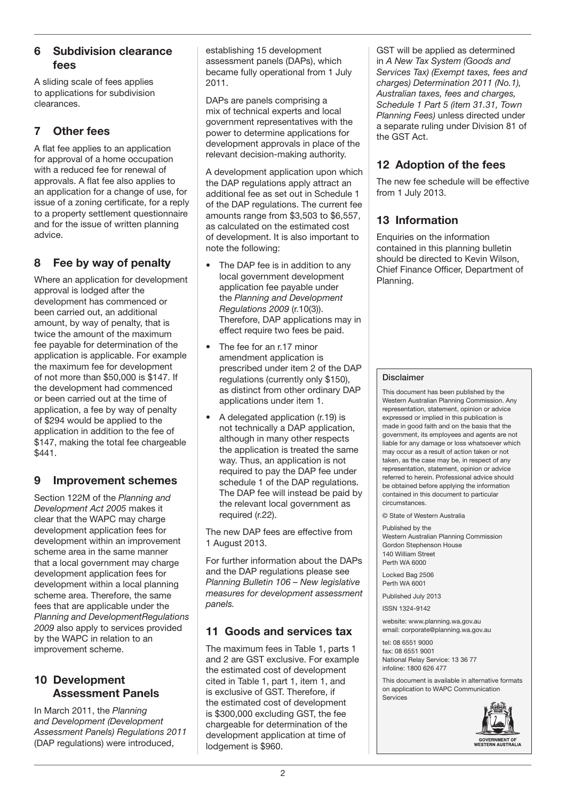#### 6 Subdivision clearance fees

A sliding scale of fees applies to applications for subdivision clearances.

# 7 Other fees

A flat fee applies to an application for approval of a home occupation with a reduced fee for renewal of approvals. A flat fee also applies to an application for a change of use, for issue of a zoning certificate, for a reply to a property settlement questionnaire and for the issue of written planning advice.

## 8 Fee by way of penalty

Where an application for development approval is lodged after the development has commenced or been carried out, an additional amount, by way of penalty, that is twice the amount of the maximum fee payable for determination of the application is applicable. For example the maximum fee for development of not more than \$50,000 is \$147. If the development had commenced or been carried out at the time of application, a fee by way of penalty of \$294 would be applied to the application in addition to the fee of \$147, making the total fee chargeable \$441.

#### 9 Improvement schemes

Section 122M of the *Planning and Development Act 2005* makes it clear that the WAPC may charge development application fees for development within an improvement scheme area in the same manner that a local government may charge development application fees for development within a local planning scheme area. Therefore, the same fees that are applicable under the *Planning and DevelopmentRegulations 2009* also apply to services provided by the WAPC in relation to an improvement scheme.

#### 10 Development Assessment Panels

In March 2011, the *Planning and Development (Development Assessment Panels) Regulations 2011* (DAP regulations) were introduced,

establishing 15 development assessment panels (DAPs), which became fully operational from 1 July 2011.

DAPs are panels comprising a mix of technical experts and local government representatives with the power to determine applications for development approvals in place of the relevant decision-making authority.

A development application upon which the DAP regulations apply attract an additional fee as set out in Schedule 1 of the DAP regulations. The current fee amounts range from \$3,503 to \$6,557, as calculated on the estimated cost of development. It is also important to note the following:

- The DAP fee is in addition to any local government development application fee payable under the *Planning and Development Regulations 2009* (r.10(3)). Therefore, DAP applications may in effect require two fees be paid.
- The fee for an r.17 minor amendment application is prescribed under item 2 of the DAP regulations (currently only \$150), as distinct from other ordinary DAP applications under item 1.
- A delegated application (r.19) is not technically a DAP application, although in many other respects the application is treated the same way. Thus, an application is not required to pay the DAP fee under schedule 1 of the DAP regulations. The DAP fee will instead be paid by the relevant local government as required (r.22).

The new DAP fees are effective from 1 August 2013.

For further information about the DAPs and the DAP regulations please see *Planning Bulletin 106 – New legislative measures for development assessment panels.*

## 11 Goods and services tax

The maximum fees in Table 1, parts 1 and 2 are GST exclusive. For example the estimated cost of development cited in Table 1, part 1, item 1, and is exclusive of GST. Therefore, if the estimated cost of development is \$300,000 excluding GST, the fee chargeable for determination of the development application at time of lodgement is \$960.

GST will be applied as determined in *A New Tax System (Goods and Services Tax) (Exempt taxes, fees and charges) Determination 2011 (No.1), Australian taxes, fees and charges, Schedule 1 Part 5 (item 31.31, Town Planning Fees)* unless directed under a separate ruling under Division 81 of the GST Act.

## 12 Adoption of the fees

The new fee schedule will be effective from 1 July 2013.

#### 13 Information

Enquiries on the information contained in this planning bulletin should be directed to Kevin Wilson, Chief Finance Officer, Department of Planning.

#### Disclaimer

This document has been published by the Western Australian Planning Commission. Any representation, statement, opinion or advice expressed or implied in this publication is made in good faith and on the basis that the government, its employees and agents are not liable for any damage or loss whatsoever which may occur as a result of action taken or not taken, as the case may be, in respect of any representation, statement, opinion or advice referred to herein. Professional advice should be obtained before applying the information contained in this document to particular circumstances.

© State of Western Australia

Published by the Western Australian Planning Commission Gordon Stephenson House 140 William Street Perth WA 6000

Locked Bag 2506 Perth WA 6001

Published July 2013

ISSN 1324-9142

website: www.planning.wa.gov.au email: corporate@planning.wa.gov.au

 $tal: OR$  6551 9000 fax: 08 6551 9001 National Relay Service: 13 36 77 infoline: 1800 626 477

This document is available in alternative formats on application to WAPC Communication Services